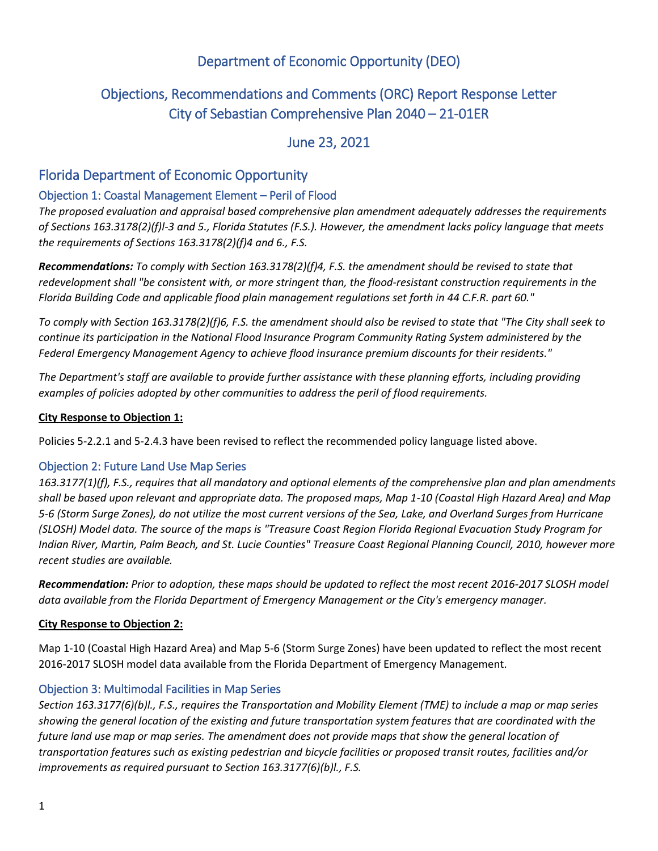# Department of Economic Opportunity (DEO)

# Objections, Recommendations and Comments (ORC) Report Response Letter City of Sebastian Comprehensive Plan 2040 – 21-01ER

# June 23, 2021

# Florida Department of Economic Opportunity

### Objection 1: Coastal Management Element – Peril of Flood

*The proposed evaluation and appraisal based comprehensive plan amendment adequately addresses the requirements of Sections 163.3178(2)(f)l-3 and 5., Florida Statutes (F.S.). However, the amendment lacks policy language that meets the requirements of Sections 163.3178(2)(f)4 and 6., F.S.*

*Recommendations: To comply with Section 163.3178(2)(f)4, F.S. the amendment should be revised to state that redevelopment shall "be consistent with, or more stringent than, the flood-resistant construction requirements in the Florida Building Code and applicable flood plain management regulations set forth in 44 C.F.R. part 60."*

*To comply with Section 163.3178(2)(f)6, F.S. the amendment should also be revised to state that "The City shall seek to continue its participation in the National Flood Insurance Program Community Rating System administered by the Federal Emergency Management Agency to achieve flood insurance premium discounts for their residents."*

*The Department's staff are available to provide further assistance with these planning efforts, including providing examples of policies adopted by other communities to address the peril of flood requirements.*

### **City Response to Objection 1:**

Policies 5-2.2.1 and 5-2.4.3 have been revised to reflect the recommended policy language listed above.

### Objection 2: Future Land Use Map Series

*163.3177(1)(f), F.S., requires that all mandatory and optional elements of the comprehensive plan and plan amendments shall be based upon relevant and appropriate data. The proposed maps, Map 1-10 (Coastal High Hazard Area) and Map 5-6 (Storm Surge Zones), do not utilize the most current versions of the Sea, Lake, and Overland Surges from Hurricane (SLOSH) Model data. The source of the maps is "Treasure Coast Region Florida Regional Evacuation Study Program for Indian River, Martin, Palm Beach, and St. Lucie Counties" Treasure Coast Regional Planning Council, 2010, however more recent studies are available.* 

*Recommendation: Prior to adoption, these maps should be updated to reflect the most recent 2016-2017 SLOSH model data available from the Florida Department of Emergency Management or the City's emergency manager.*

### **City Response to Objection 2:**

Map 1-10 (Coastal High Hazard Area) and Map 5-6 (Storm Surge Zones) have been updated to reflect the most recent 2016-2017 SLOSH model data available from the Florida Department of Emergency Management.

### Objection 3: Multimodal Facilities in Map Series

*Section 163.3177(6)(b)l., F.S., requires the Transportation and Mobility Element (TME) to include a map or map series showing the general location of the existing and future transportation system features that are coordinated with the future land use map or map series. The amendment does not provide maps that show the general location of transportation features such as existing pedestrian and bicycle facilities or proposed transit routes, facilities and/or improvements as required pursuant to Section 163.3177(6)(b)l., F.S.*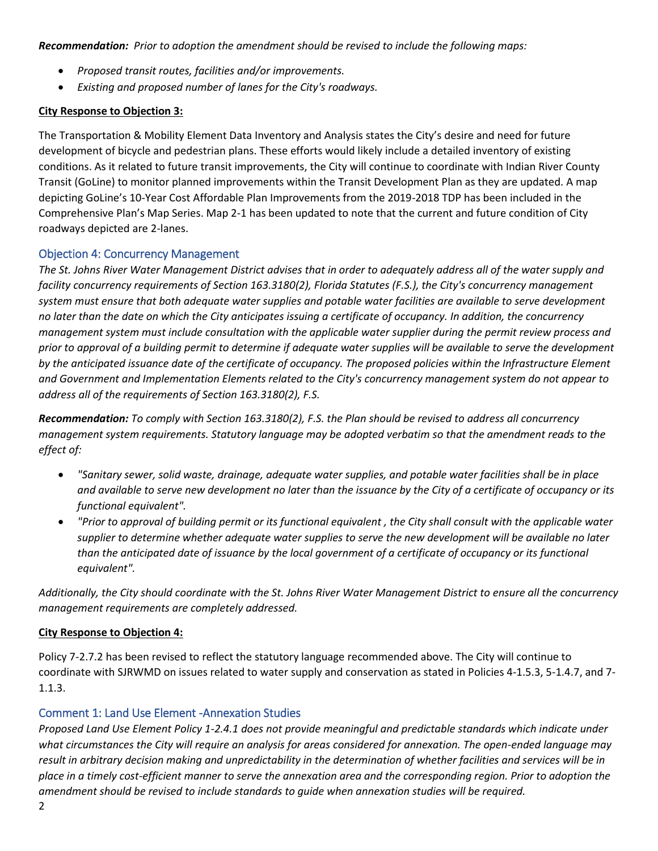*Recommendation: Prior to adoption the amendment should be revised to include the following maps:*

- *Proposed transit routes, facilities and/or improvements.*
- *Existing and proposed number of lanes for the City's roadways.*

### **City Response to Objection 3:**

The Transportation & Mobility Element Data Inventory and Analysis states the City's desire and need for future development of bicycle and pedestrian plans. These efforts would likely include a detailed inventory of existing conditions. As it related to future transit improvements, the City will continue to coordinate with Indian River County Transit (GoLine) to monitor planned improvements within the Transit Development Plan as they are updated. A map depicting GoLine's 10-Year Cost Affordable Plan Improvements from the 2019-2018 TDP has been included in the Comprehensive Plan's Map Series. Map 2-1 has been updated to note that the current and future condition of City roadways depicted are 2-lanes.

### Objection 4: Concurrency Management

*The St. Johns River Water Management District advises that in order to adequately address all of the water supply and facility concurrency requirements of Section 163.3180(2), Florida Statutes (F.S.), the City's concurrency management system must ensure that both adequate water supplies and potable water facilities are available to serve development no later than the date on which the City anticipates issuing a certificate of occupancy. In addition, the concurrency management system must include consultation with the applicable water supplier during the permit review process and prior to approval of a building permit to determine if adequate water supplies will be available to serve the development by the anticipated issuance date of the certificate of occupancy. The proposed policies within the Infrastructure Element and Government and Implementation Elements related to the City's concurrency management system do not appear to address all of the requirements of Section 163.3180(2), F.S.*

*Recommendation: To comply with Section 163.3180(2), F.S. the Plan should be revised to address all concurrency management system requirements. Statutory language may be adopted verbatim so that the amendment reads to the effect of:*

- *"Sanitary sewer, solid waste, drainage, adequate water supplies, and potable water facilities shall be in place and available to serve new development no later than the issuance by the City of a certificate of occupancy or its functional equivalent".*
- *"Prior to approval of building permit or its functional equivalent , the City shall consult with the applicable water supplier to determine whether adequate water supplies to serve the new development will be available no later than the anticipated date of issuance by the local government of a certificate of occupancy or its functional equivalent".*

*Additionally, the City should coordinate with the St. Johns River Water Management District to ensure all the concurrency management requirements are completely addressed.*

### **City Response to Objection 4:**

Policy 7-2.7.2 has been revised to reflect the statutory language recommended above. The City will continue to coordinate with SJRWMD on issues related to water supply and conservation as stated in Policies 4-1.5.3, 5-1.4.7, and 7- 1.1.3.

### Comment 1: Land Use Element -Annexation Studies

*Proposed Land Use Element Policy 1-2.4.1 does not provide meaningful and predictable standards which indicate under what circumstances the City will require an analysis for areas considered for annexation. The open-ended language may result in arbitrary decision making and unpredictability in the determination of whether facilities and services will be in place in a timely cost-efficient manner to serve the annexation area and the corresponding region. Prior to adoption the amendment should be revised to include standards to guide when annexation studies will be required.*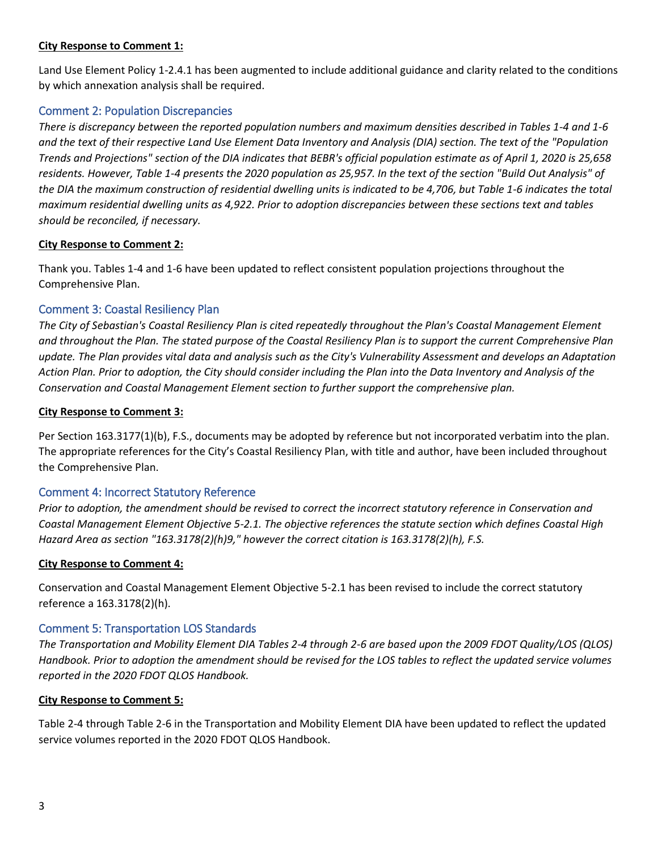### **City Response to Comment 1:**

Land Use Element Policy 1-2.4.1 has been augmented to include additional guidance and clarity related to the conditions by which annexation analysis shall be required.

### Comment 2: Population Discrepancies

*There is discrepancy between the reported population numbers and maximum densities described in Tables 1-4 and 1-6 and the text of their respective Land Use Element Data Inventory and Analysis (DIA) section. The text of the "Population Trends and Projections" section of the DIA indicates that BEBR's official population estimate as of April 1, 2020 is 25,658 residents. However, Table 1-4 presents the 2020 population as 25,957. In the text of the section "Build Out Analysis" of the DIA the maximum construction of residential dwelling units is indicated to be 4,706, but Table 1-6 indicates the total maximum residential dwelling units as 4,922. Prior to adoption discrepancies between these sections text and tables should be reconciled, if necessary.*

### **City Response to Comment 2:**

Thank you. Tables 1-4 and 1-6 have been updated to reflect consistent population projections throughout the Comprehensive Plan.

### Comment 3: Coastal Resiliency Plan

*The City of Sebastian's Coastal Resiliency Plan is cited repeatedly throughout the Plan's Coastal Management Element and throughout the Plan. The stated purpose of the Coastal Resiliency Plan is to support the current Comprehensive Plan update. The Plan provides vital data and analysis such as the City's Vulnerability Assessment and develops an Adaptation Action Plan. Prior to adoption, the City should consider including the Plan into the Data Inventory and Analysis of the Conservation and Coastal Management Element section to further support the comprehensive plan.*

### **City Response to Comment 3:**

Per Section 163.3177(1)(b), F.S., documents may be adopted by reference but not incorporated verbatim into the plan. The appropriate references for the City's Coastal Resiliency Plan, with title and author, have been included throughout the Comprehensive Plan.

### Comment 4: Incorrect Statutory Reference

*Prior to adoption, the amendment should be revised to correct the incorrect statutory reference in Conservation and Coastal Management Element Objective 5-2.1. The objective references the statute section which defines Coastal High Hazard Area as section "163.3178(2)(h)9," however the correct citation is 163.3178(2)(h), F.S.*

### **City Response to Comment 4:**

Conservation and Coastal Management Element Objective 5-2.1 has been revised to include the correct statutory reference a 163.3178(2)(h).

### Comment 5: Transportation LOS Standards

*The Transportation and Mobility Element DIA Tables 2-4 through 2-6 are based upon the 2009 FDOT Quality/LOS (QLOS) Handbook. Prior to adoption the amendment should be revised for the LOS tables to reflect the updated service volumes reported in the 2020 FDOT QLOS Handbook.*

### **City Response to Comment 5:**

Table 2-4 through Table 2-6 in the Transportation and Mobility Element DIA have been updated to reflect the updated service volumes reported in the 2020 FDOT QLOS Handbook.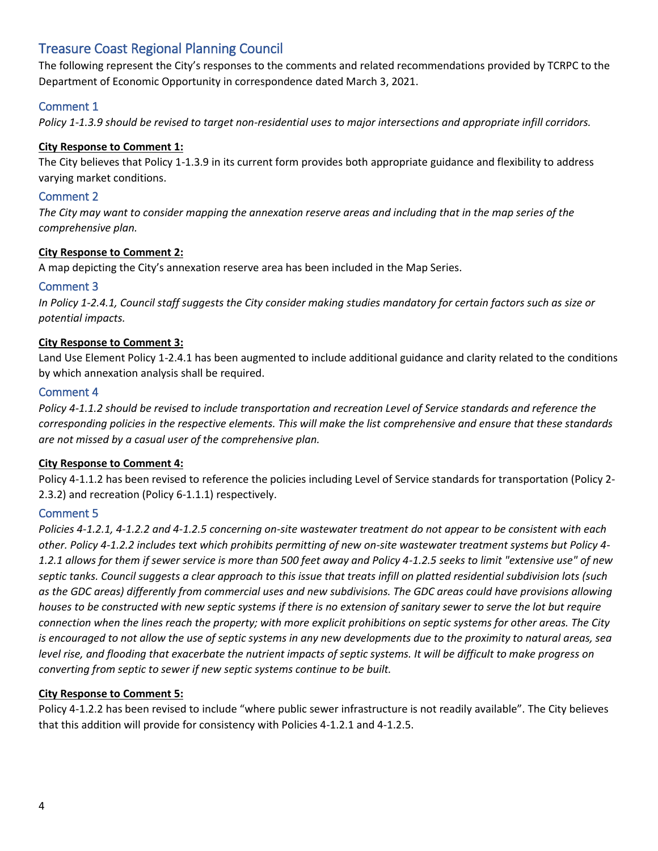# Treasure Coast Regional Planning Council

The following represent the City's responses to the comments and related recommendations provided by TCRPC to the Department of Economic Opportunity in correspondence dated March 3, 2021.

# Comment 1

*Policy 1-1.3.9 should be revised to target non-residential uses to major intersections and appropriate infill corridors.* 

### **City Response to Comment 1:**

The City believes that Policy 1-1.3.9 in its current form provides both appropriate guidance and flexibility to address varying market conditions.

### Comment 2

*The City may want to consider mapping the annexation reserve areas and including that in the map series of the comprehensive plan.* 

### **City Response to Comment 2:**

A map depicting the City's annexation reserve area has been included in the Map Series.

### Comment 3

*In Policy 1-2.4.1, Council staff suggests the City consider making studies mandatory for certain factors such as size or potential impacts.* 

### **City Response to Comment 3:**

Land Use Element Policy 1-2.4.1 has been augmented to include additional guidance and clarity related to the conditions by which annexation analysis shall be required.

### Comment 4

*Policy 4-1.1.2 should be revised to include transportation and recreation Level of Service standards and reference the corresponding policies in the respective elements. This will make the list comprehensive and ensure that these standards are not missed by a casual user of the comprehensive plan.*

### **City Response to Comment 4:**

Policy 4-1.1.2 has been revised to reference the policies including Level of Service standards for transportation (Policy 2- 2.3.2) and recreation (Policy 6-1.1.1) respectively.

### Comment 5

*Policies 4-1.2.1, 4-1.2.2 and 4-1.2.5 concerning on-site wastewater treatment do not appear to be consistent with each other. Policy 4-1.2.2 includes text which prohibits permitting of new on-site wastewater treatment systems but Policy 4- 1.2.1 allows for them if sewer service is more than 500 feet away and Policy 4-1.2.5 seeks to limit "extensive use" of new septic tanks. Council suggests a clear approach to this issue that treats infill on platted residential subdivision lots (such as the GDC areas) differently from commercial uses and new subdivisions. The GDC areas could have provisions allowing houses to be constructed with new septic systems if there is no extension of sanitary sewer to serve the lot but require connection when the lines reach the property; with more explicit prohibitions on septic systems for other areas. The City is encouraged to not allow the use of septic systems in any new developments due to the proximity to natural areas, sea level rise, and flooding that exacerbate the nutrient impacts of septic systems. It will be difficult to make progress on converting from septic to sewer if new septic systems continue to be built.*

### **City Response to Comment 5:**

Policy 4-1.2.2 has been revised to include "where public sewer infrastructure is not readily available". The City believes that this addition will provide for consistency with Policies 4-1.2.1 and 4-1.2.5.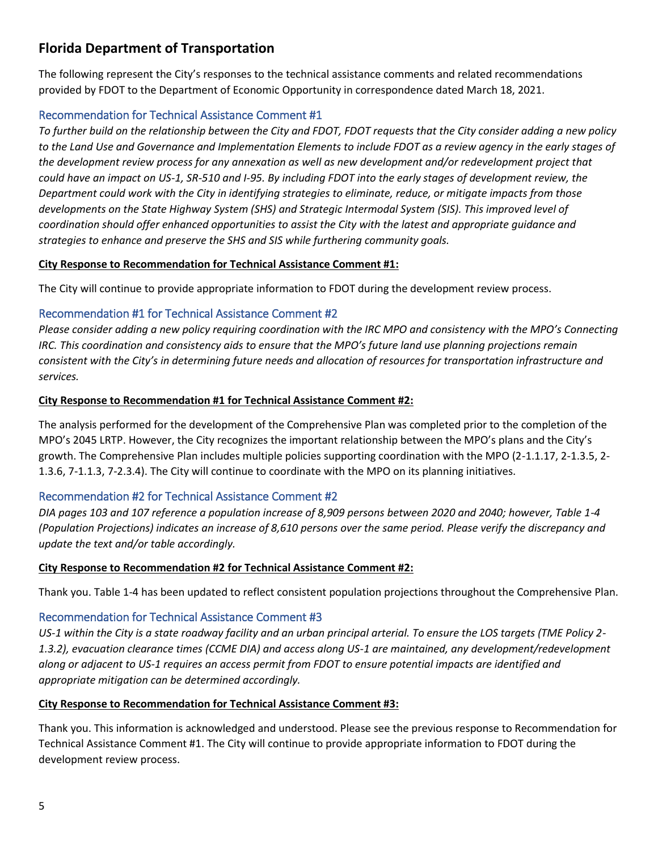# **Florida Department of Transportation**

The following represent the City's responses to the technical assistance comments and related recommendations provided by FDOT to the Department of Economic Opportunity in correspondence dated March 18, 2021.

# Recommendation for Technical Assistance Comment #1

*To further build on the relationship between the City and FDOT, FDOT requests that the City consider adding a new policy to the Land Use and Governance and Implementation Elements to include FDOT as a review agency in the early stages of the development review process for any annexation as well as new development and/or redevelopment project that could have an impact on US-1, SR-510 and I-95. By including FDOT into the early stages of development review, the Department could work with the City in identifying strategies to eliminate, reduce, or mitigate impacts from those developments on the State Highway System (SHS) and Strategic Intermodal System (SIS). This improved level of coordination should offer enhanced opportunities to assist the City with the latest and appropriate guidance and strategies to enhance and preserve the SHS and SIS while furthering community goals.*

# **City Response to Recommendation for Technical Assistance Comment #1:**

The City will continue to provide appropriate information to FDOT during the development review process.

# Recommendation #1 for Technical Assistance Comment #2

*Please consider adding a new policy requiring coordination with the IRC MPO and consistency with the MPO's Connecting IRC. This coordination and consistency aids to ensure that the MPO's future land use planning projections remain consistent with the City's in determining future needs and allocation of resources for transportation infrastructure and services.*

# **City Response to Recommendation #1 for Technical Assistance Comment #2:**

The analysis performed for the development of the Comprehensive Plan was completed prior to the completion of the MPO's 2045 LRTP. However, the City recognizes the important relationship between the MPO's plans and the City's growth. The Comprehensive Plan includes multiple policies supporting coordination with the MPO (2-1.1.17, 2-1.3.5, 2- 1.3.6, 7-1.1.3, 7-2.3.4). The City will continue to coordinate with the MPO on its planning initiatives.

# Recommendation #2 for Technical Assistance Comment #2

*DIA pages 103 and 107 reference a population increase of 8,909 persons between 2020 and 2040; however, Table 1-4 (Population Projections) indicates an increase of 8,610 persons over the same period. Please verify the discrepancy and update the text and/or table accordingly.*

# **City Response to Recommendation #2 for Technical Assistance Comment #2:**

Thank you. Table 1-4 has been updated to reflect consistent population projections throughout the Comprehensive Plan.

# Recommendation for Technical Assistance Comment #3

*US-1 within the City is a state roadway facility and an urban principal arterial. To ensure the LOS targets (TME Policy 2- 1.3.2), evacuation clearance times (CCME DIA) and access along US-1 are maintained, any development/redevelopment along or adjacent to US-1 requires an access permit from FDOT to ensure potential impacts are identified and appropriate mitigation can be determined accordingly.* 

# **City Response to Recommendation for Technical Assistance Comment #3:**

Thank you. This information is acknowledged and understood. Please see the previous response to Recommendation for Technical Assistance Comment #1. The City will continue to provide appropriate information to FDOT during the development review process.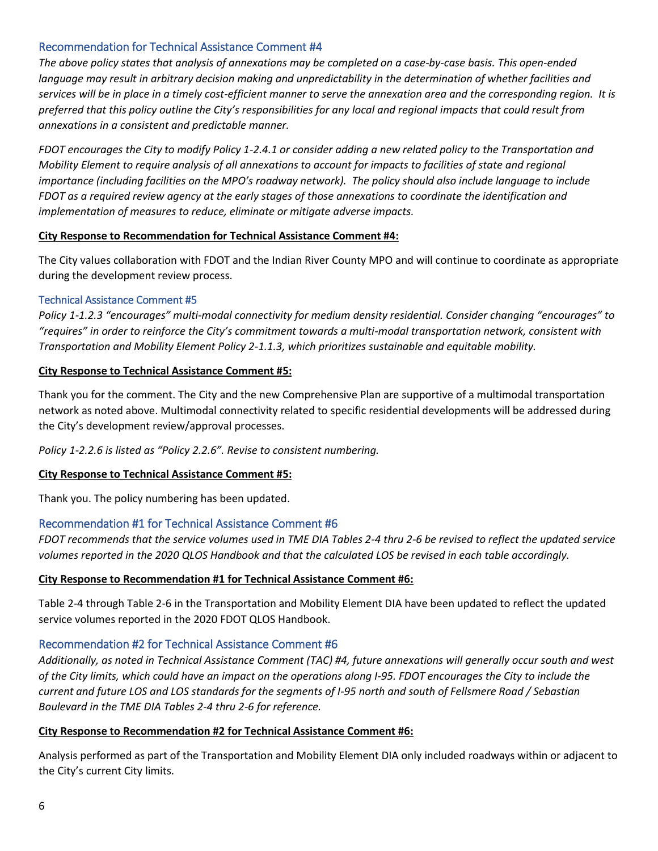# Recommendation for Technical Assistance Comment #4

*The above policy states that analysis of annexations may be completed on a case-by-case basis. This open-ended language may result in arbitrary decision making and unpredictability in the determination of whether facilities and services will be in place in a timely cost-efficient manner to serve the annexation area and the corresponding region. It is preferred that this policy outline the City's responsibilities for any local and regional impacts that could result from annexations in a consistent and predictable manner.* 

*FDOT encourages the City to modify Policy 1-2.4.1 or consider adding a new related policy to the Transportation and Mobility Element to require analysis of all annexations to account for impacts to facilities of state and regional importance (including facilities on the MPO's roadway network). The policy should also include language to include FDOT as a required review agency at the early stages of those annexations to coordinate the identification and implementation of measures to reduce, eliminate or mitigate adverse impacts.*

### **City Response to Recommendation for Technical Assistance Comment #4:**

The City values collaboration with FDOT and the Indian River County MPO and will continue to coordinate as appropriate during the development review process.

### Technical Assistance Comment #5

*Policy 1-1.2.3 "encourages" multi-modal connectivity for medium density residential. Consider changing "encourages" to "requires" in order to reinforce the City's commitment towards a multi-modal transportation network, consistent with Transportation and Mobility Element Policy 2-1.1.3, which prioritizes sustainable and equitable mobility.*

### **City Response to Technical Assistance Comment #5:**

Thank you for the comment. The City and the new Comprehensive Plan are supportive of a multimodal transportation network as noted above. Multimodal connectivity related to specific residential developments will be addressed during the City's development review/approval processes.

*Policy 1-2.2.6 is listed as "Policy 2.2.6". Revise to consistent numbering.*

### **City Response to Technical Assistance Comment #5:**

Thank you. The policy numbering has been updated.

### Recommendation #1 for Technical Assistance Comment #6

*FDOT recommends that the service volumes used in TME DIA Tables 2-4 thru 2-6 be revised to reflect the updated service volumes reported in the 2020 QLOS Handbook and that the calculated LOS be revised in each table accordingly.*

### **City Response to Recommendation #1 for Technical Assistance Comment #6:**

Table 2-4 through Table 2-6 in the Transportation and Mobility Element DIA have been updated to reflect the updated service volumes reported in the 2020 FDOT QLOS Handbook.

### Recommendation #2 for Technical Assistance Comment #6

*Additionally, as noted in Technical Assistance Comment (TAC) #4, future annexations will generally occur south and west of the City limits, which could have an impact on the operations along I-95. FDOT encourages the City to include the current and future LOS and LOS standards for the segments of I-95 north and south of Fellsmere Road / Sebastian Boulevard in the TME DIA Tables 2-4 thru 2-6 for reference.*

### **City Response to Recommendation #2 for Technical Assistance Comment #6:**

Analysis performed as part of the Transportation and Mobility Element DIA only included roadways within or adjacent to the City's current City limits.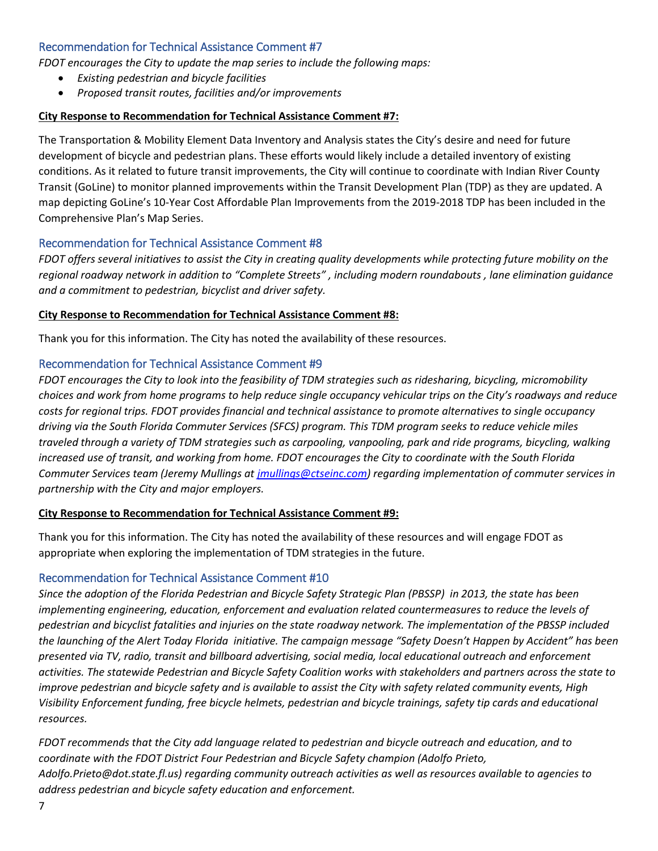### Recommendation for Technical Assistance Comment #7

*FDOT encourages the City to update the map series to include the following maps:*

- *Existing pedestrian and bicycle facilities*
- *Proposed transit routes, facilities and/or improvements*

### **City Response to Recommendation for Technical Assistance Comment #7:**

The Transportation & Mobility Element Data Inventory and Analysis states the City's desire and need for future development of bicycle and pedestrian plans. These efforts would likely include a detailed inventory of existing conditions. As it related to future transit improvements, the City will continue to coordinate with Indian River County Transit (GoLine) to monitor planned improvements within the Transit Development Plan (TDP) as they are updated. A map depicting GoLine's 10-Year Cost Affordable Plan Improvements from the 2019-2018 TDP has been included in the Comprehensive Plan's Map Series.

### Recommendation for Technical Assistance Comment #8

*FDOT offers several initiatives to assist the City in creating quality developments while protecting future mobility on the regional roadway network in addition to "Complete Streets" , including modern roundabouts , lane elimination guidance and a commitment to pedestrian, bicyclist and driver safety.*

### **City Response to Recommendation for Technical Assistance Comment #8:**

Thank you for this information. The City has noted the availability of these resources.

### Recommendation for Technical Assistance Comment #9

*FDOT encourages the City to look into the feasibility of TDM strategies such as ridesharing, bicycling, micromobility choices and work from home programs to help reduce single occupancy vehicular trips on the City's roadways and reduce costs for regional trips. FDOT provides financial and technical assistance to promote alternatives to single occupancy driving via the South Florida Commuter Services (SFCS) program. This TDM program seeks to reduce vehicle miles traveled through a variety of TDM strategies such as carpooling, vanpooling, park and ride programs, bicycling, walking increased use of transit, and working from home. FDOT encourages the City to coordinate with the South Florida Commuter Services team (Jeremy Mullings at [jmullings@ctseinc.com\)](mailto:jmullings@ctseinc.com) regarding implementation of commuter services in partnership with the City and major employers.* 

### **City Response to Recommendation for Technical Assistance Comment #9:**

Thank you for this information. The City has noted the availability of these resources and will engage FDOT as appropriate when exploring the implementation of TDM strategies in the future.

### Recommendation for Technical Assistance Comment #10

*Since the adoption of the Florida Pedestrian and Bicycle Safety Strategic Plan (PBSSP) in 2013, the state has been implementing engineering, education, enforcement and evaluation related countermeasures to reduce the levels of pedestrian and bicyclist fatalities and injuries on the state roadway network. The implementation of the PBSSP included the launching of the Alert Today Florida initiative. The campaign message "Safety Doesn't Happen by Accident" has been presented via TV, radio, transit and billboard advertising, social media, local educational outreach and enforcement activities. The statewide Pedestrian and Bicycle Safety Coalition works with stakeholders and partners across the state to improve pedestrian and bicycle safety and is available to assist the City with safety related community events, High Visibility Enforcement funding, free bicycle helmets, pedestrian and bicycle trainings, safety tip cards and educational resources.* 

*FDOT recommends that the City add language related to pedestrian and bicycle outreach and education, and to coordinate with the FDOT District Four Pedestrian and Bicycle Safety champion (Adolfo Prieto, Adolfo.Prieto@dot.state.fl.us) regarding community outreach activities as well as resources available to agencies to address pedestrian and bicycle safety education and enforcement.*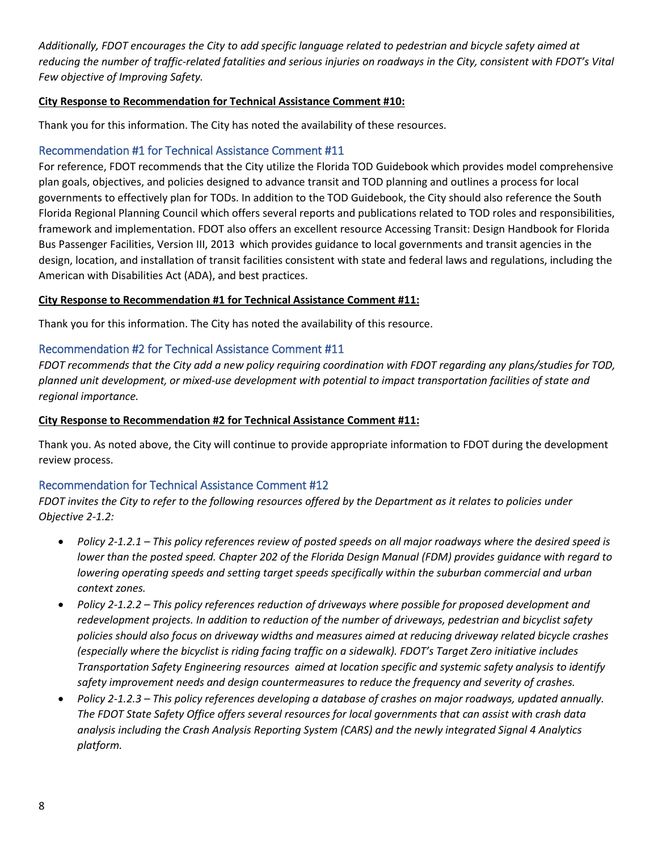*Additionally, FDOT encourages the City to add specific language related to pedestrian and bicycle safety aimed at reducing the number of traffic-related fatalities and serious injuries on roadways in the City, consistent with FDOT's Vital Few objective of Improving Safety.* 

### **City Response to Recommendation for Technical Assistance Comment #10:**

Thank you for this information. The City has noted the availability of these resources.

# Recommendation #1 for Technical Assistance Comment #11

For reference, FDOT recommends that the City utilize the Florida TOD Guidebook which provides model comprehensive plan goals, objectives, and policies designed to advance transit and TOD planning and outlines a process for local governments to effectively plan for TODs. In addition to the TOD Guidebook, the City should also reference the South Florida Regional Planning Council which offers several reports and publications related to TOD roles and responsibilities, framework and implementation. FDOT also offers an excellent resource Accessing Transit: Design Handbook for Florida Bus Passenger Facilities, Version III, 2013 which provides guidance to local governments and transit agencies in the design, location, and installation of transit facilities consistent with state and federal laws and regulations, including the American with Disabilities Act (ADA), and best practices.

### **City Response to Recommendation #1 for Technical Assistance Comment #11:**

Thank you for this information. The City has noted the availability of this resource.

# Recommendation #2 for Technical Assistance Comment #11

*FDOT recommends that the City add a new policy requiring coordination with FDOT regarding any plans/studies for TOD, planned unit development, or mixed-use development with potential to impact transportation facilities of state and regional importance.*

### **City Response to Recommendation #2 for Technical Assistance Comment #11:**

Thank you. As noted above, the City will continue to provide appropriate information to FDOT during the development review process.

### Recommendation for Technical Assistance Comment #12

*FDOT invites the City to refer to the following resources offered by the Department as it relates to policies under Objective 2-1.2:*

- *Policy 2-1.2.1 – This policy references review of posted speeds on all major roadways where the desired speed is lower than the posted speed. Chapter 202 of the Florida Design Manual (FDM) provides guidance with regard to lowering operating speeds and setting target speeds specifically within the suburban commercial and urban context zones.*
- *Policy 2-1.2.2 – This policy references reduction of driveways where possible for proposed development and redevelopment projects. In addition to reduction of the number of driveways, pedestrian and bicyclist safety policies should also focus on driveway widths and measures aimed at reducing driveway related bicycle crashes (especially where the bicyclist is riding facing traffic on a sidewalk). FDOT's Target Zero initiative includes Transportation Safety Engineering resources aimed at location specific and systemic safety analysis to identify safety improvement needs and design countermeasures to reduce the frequency and severity of crashes.*
- *Policy 2-1.2.3 – This policy references developing a database of crashes on major roadways, updated annually. The FDOT State Safety Office offers several resources for local governments that can assist with crash data analysis including the Crash Analysis Reporting System (CARS) and the newly integrated Signal 4 Analytics platform.*